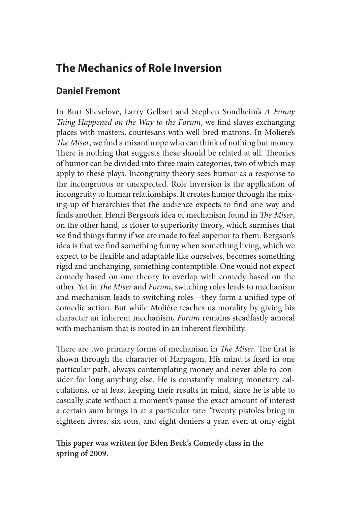# **The Mechanics of Role Inversion**

## **Daniel Fremont**

In Burt Shevelove, Larry Gelbart and Stephen Sondheim's *A Funny Thing Happened on the Way to the Forum*, we find slaves exchanging places with masters, courtesans with well-bred matrons. In Moliere's *The Miser*, we find a misanthrope who can think of nothing but money. There is nothing that suggests these should be related at all. Theories of humor can be divided into three main categories, two of which may apply to these plays. Incongruity theory sees humor as a response to the incongruous or unexpected. Role inversion is the application of incongruity to human relationships. It creates humor through the mixing-up of hierarchies that the audience expects to find one way and finds another. Henri Bergson's idea of mechanism found in *The Miser*, on the other hand, is closer to superiority theory, which surmises that we find things funny if we are made to feel superior to them. Bergson's idea is that we find something funny when something living, which we expect to be flexible and adaptable like ourselves, becomes something rigid and unchanging, something contemptible. One would not expect comedy based on one theory to overlap with comedy based on the other. Yet in *The Miser* and *Forum*, switching roles leads to mechanism and mechanism leads to switching roles—they form a unified type of comedic action. But while Molière teaches us morality by giving his character an inherent mechanism, *Forum* remains steadfastly amoral with mechanism that is rooted in an inherent flexibility.

There are two primary forms of mechanism in *The Miser*. The first is shown through the character of Harpagon. His mind is fixed in one particular path, always contemplating money and never able to consider for long anything else. He is constantly making monetary calculations, or at least keeping their results in mind, since he is able to casually state without a moment's pause the exact amount of interest a certain sum brings in at a particular rate: "twenty pistoles bring in eighteen livres, six sous, and eight deniers a year, even at only eight

**This paper was written for Eden Beck's Comedy class in the spring of 2009.**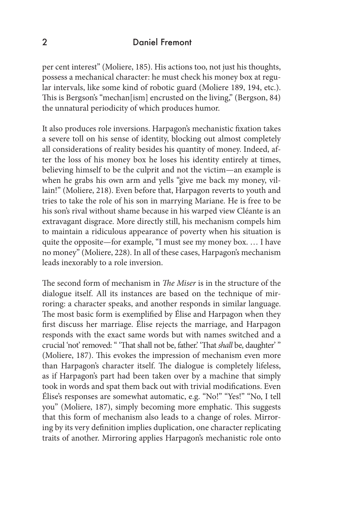#### 2 Daniel Fremont

per cent interest" (Moliere, 185). His actions too, not just his thoughts, possess a mechanical character: he must check his money box at regular intervals, like some kind of robotic guard (Moliere 189, 194, etc.). This is Bergson's "mechan[ism] encrusted on the living," (Bergson, 84) the unnatural periodicity of which produces humor.

It also produces role inversions. Harpagon's mechanistic fixation takes a severe toll on his sense of identity, blocking out almost completely all considerations of reality besides his quantity of money. Indeed, after the loss of his money box he loses his identity entirely at times, believing himself to be the culprit and not the victim—an example is when he grabs his own arm and yells "give me back my money, villain!" (Moliere, 218). Even before that, Harpagon reverts to youth and tries to take the role of his son in marrying Mariane. He is free to be his son's rival without shame because in his warped view Cléante is an extravagant disgrace. More directly still, his mechanism compels him to maintain a ridiculous appearance of poverty when his situation is quite the opposite—for example, "I must see my money box. … I have no money" (Moliere, 228). In all of these cases, Harpagon's mechanism leads inexorably to a role inversion.

The second form of mechanism in *The Miser* is in the structure of the dialogue itself. All its instances are based on the technique of mirroring: a character speaks, and another responds in similar language. The most basic form is exemplified by Élise and Harpagon when they first discuss her marriage. Élise rejects the marriage, and Harpagon responds with the exact same words but with names switched and a crucial 'not' removed: " 'That shall not be, father.' 'That *shall* be, daughter' " (Moliere, 187). This evokes the impression of mechanism even more than Harpagon's character itself. The dialogue is completely lifeless, as if Harpagon's part had been taken over by a machine that simply took in words and spat them back out with trivial modifications. Even Élise's responses are somewhat automatic, e.g. "No!" "Yes!" "No, I tell you" (Moliere, 187), simply becoming more emphatic. This suggests that this form of mechanism also leads to a change of roles. Mirroring by its very definition implies duplication, one character replicating traits of another. Mirroring applies Harpagon's mechanistic role onto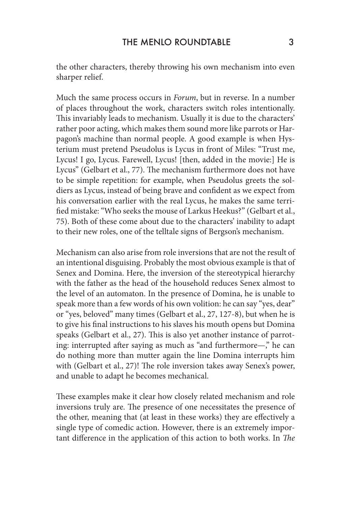the other characters, thereby throwing his own mechanism into even sharper relief.

Much the same process occurs in *Forum*, but in reverse. In a number of places throughout the work, characters switch roles intentionally. This invariably leads to mechanism. Usually it is due to the characters' rather poor acting, which makes them sound more like parrots or Harpagon's machine than normal people. A good example is when Hysterium must pretend Pseudolus is Lycus in front of Miles: "Trust me, Lycus! I go, Lycus. Farewell, Lycus! [then, added in the movie:] He is Lycus" (Gelbart et al., 77). The mechanism furthermore does not have to be simple repetition: for example, when Pseudolus greets the soldiers as Lycus, instead of being brave and confident as we expect from his conversation earlier with the real Lycus, he makes the same terrified mistake: "Who seeks the mouse of Larkus Heekus?" (Gelbart et al., 75). Both of these come about due to the characters' inability to adapt to their new roles, one of the telltale signs of Bergson's mechanism.

Mechanism can also arise from role inversions that are not the result of an intentional disguising. Probably the most obvious example is that of Senex and Domina. Here, the inversion of the stereotypical hierarchy with the father as the head of the household reduces Senex almost to the level of an automaton. In the presence of Domina, he is unable to speak more than a few words of his own volition: he can say "yes, dear" or "yes, beloved" many times (Gelbart et al., 27, 127-8), but when he is to give his final instructions to his slaves his mouth opens but Domina speaks (Gelbart et al., 27). This is also yet another instance of parroting: interrupted after saying as much as "and furthermore—," he can do nothing more than mutter again the line Domina interrupts him with (Gelbart et al., 27)! The role inversion takes away Senex's power, and unable to adapt he becomes mechanical.

These examples make it clear how closely related mechanism and role inversions truly are. The presence of one necessitates the presence of the other, meaning that (at least in these works) they are effectively a single type of comedic action. However, there is an extremely important difference in the application of this action to both works. In *The*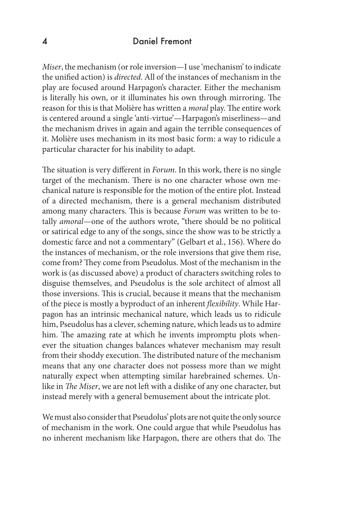#### 4 Daniel Fremont

*Miser*, the mechanism (or role inversion—I use 'mechanism' to indicate the unified action) is *directed*. All of the instances of mechanism in the play are focused around Harpagon's character. Either the mechanism is literally his own, or it illuminates his own through mirroring. The reason for this is that Molière has written a *moral* play. The entire work is centered around a single 'anti-virtue'—Harpagon's miserliness—and the mechanism drives in again and again the terrible consequences of it. Molière uses mechanism in its most basic form: a way to ridicule a particular character for his inability to adapt.

The situation is very different in *Forum*. In this work, there is no single target of the mechanism. There is no one character whose own mechanical nature is responsible for the motion of the entire plot. Instead of a directed mechanism, there is a general mechanism distributed among many characters. This is because *Forum* was written to be totally *amoral*—one of the authors wrote, "there should be no political or satirical edge to any of the songs, since the show was to be strictly a domestic farce and not a commentary" (Gelbart et al., 156). Where do the instances of mechanism, or the role inversions that give them rise, come from? They come from Pseudolus. Most of the mechanism in the work is (as discussed above) a product of characters switching roles to disguise themselves, and Pseudolus is the sole architect of almost all those inversions. This is crucial, because it means that the mechanism of the piece is mostly a byproduct of an inherent *flexibility*. While Harpagon has an intrinsic mechanical nature, which leads us to ridicule him, Pseudolus has a clever, scheming nature, which leads us to admire him. The amazing rate at which he invents impromptu plots whenever the situation changes balances whatever mechanism may result from their shoddy execution. The distributed nature of the mechanism means that any one character does not possess more than we might naturally expect when attempting similar harebrained schemes. Unlike in *The Miser*, we are not left with a dislike of any one character, but instead merely with a general bemusement about the intricate plot.

We must also consider that Pseudolus' plots are not quite the only source of mechanism in the work. One could argue that while Pseudolus has no inherent mechanism like Harpagon, there are others that do. The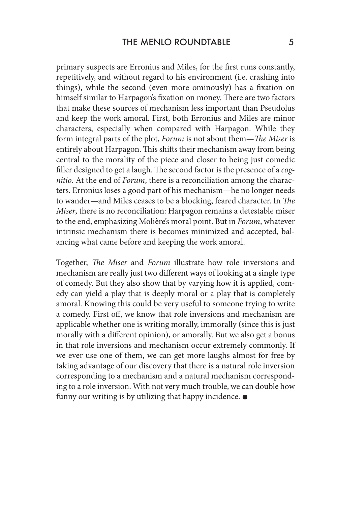primary suspects are Erronius and Miles, for the first runs constantly, repetitively, and without regard to his environment (i.e. crashing into things), while the second (even more ominously) has a fixation on himself similar to Harpagon's fixation on money. There are two factors that make these sources of mechanism less important than Pseudolus and keep the work amoral. First, both Erronius and Miles are minor characters, especially when compared with Harpagon. While they form integral parts of the plot, *Forum* is not about them—*The Miser* is entirely about Harpagon. This shifts their mechanism away from being central to the morality of the piece and closer to being just comedic filler designed to get a laugh. The second factor is the presence of a *cognitio*. At the end of *Forum*, there is a reconciliation among the characters. Erronius loses a good part of his mechanism—he no longer needs to wander—and Miles ceases to be a blocking, feared character. In *The Miser*, there is no reconciliation: Harpagon remains a detestable miser to the end, emphasizing Molière's moral point. But in *Forum*, whatever intrinsic mechanism there is becomes minimized and accepted, balancing what came before and keeping the work amoral.

Together, *The Miser* and *Forum* illustrate how role inversions and mechanism are really just two different ways of looking at a single type of comedy. But they also show that by varying how it is applied, comedy can yield a play that is deeply moral or a play that is completely amoral. Knowing this could be very useful to someone trying to write a comedy. First off, we know that role inversions and mechanism are applicable whether one is writing morally, immorally (since this is just morally with a different opinion), or amorally. But we also get a bonus in that role inversions and mechanism occur extremely commonly. If we ever use one of them, we can get more laughs almost for free by taking advantage of our discovery that there is a natural role inversion corresponding to a mechanism and a natural mechanism corresponding to a role inversion. With not very much trouble, we can double how funny our writing is by utilizing that happy incidence.  $\bullet$